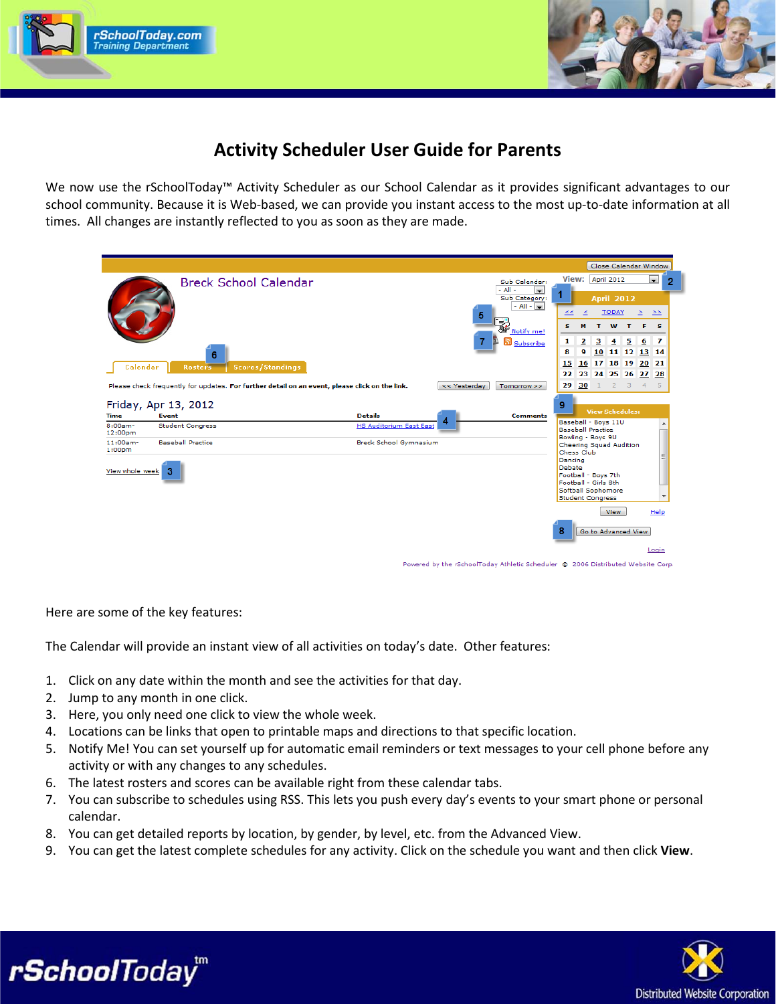



# **Activity Scheduler User Guide for Parents**

We now use the rSchoolToday™ Activity Scheduler as our School Calendar as it provides significant advantages to our school community. Because it is Web-based, we can provide you instant access to the most up-to-date information at all times. All changes are instantly reflected to you as soon as they are made.

|                                   |                                                                                                |                                                  |              |                                                |               |                                                    | Close Calendar Window  |                |                 |                          |   |
|-----------------------------------|------------------------------------------------------------------------------------------------|--------------------------------------------------|--------------|------------------------------------------------|---------------|----------------------------------------------------|------------------------|----------------|-----------------|--------------------------|---|
|                                   | <b>Breck School Calendar</b>                                                                   |                                                  |              | Sub Calendar:                                  |               | View: April 2012                                   |                        |                |                 | $\overline{\phantom{a}}$ | 2 |
|                                   |                                                                                                |                                                  |              | $-$ All $-$<br>$\blacksquare$<br>Sub Category: |               |                                                    | <b>April 2012</b>      |                |                 |                          |   |
|                                   |                                                                                                |                                                  | 5            | $-$ All $ \left  \frac{1}{2} \right $          | ≤≤            | ≤                                                  | <b>TODAY</b>           |                | $\geq$          | ≥≥                       |   |
|                                   |                                                                                                |                                                  |              | <b>The Notify me!</b>                          | s             | м                                                  | T W T                  |                | F.              | - 5                      |   |
|                                   |                                                                                                |                                                  |              | ה<br>Subscribe                                 | 1             | $\overline{\mathbf{2}}$<br>$\overline{\mathbf{3}}$ | $\overline{4}$         | 5              | $6\phantom{1}6$ | 7                        |   |
|                                   | 6                                                                                              |                                                  |              |                                                | 8             | 9                                                  | 10 11 12 13 14         |                |                 |                          |   |
| Calendar                          | <b>Scores/Standings</b><br><b>Rosters</b>                                                      |                                                  |              |                                                | 15<br>22      | 16 17 18 19 20 21<br>23                            | 24 25 26 27 28         |                |                 |                          |   |
|                                   | Please check frequently for updates. For further detail on an event, please click on the link. |                                                  | << Yesterday | Tomorrow >>                                    | 29            | 30<br>1.                                           | $\overline{2}$         | $\overline{3}$ | $\overline{4}$  | 5                        |   |
|                                   |                                                                                                |                                                  |              |                                                |               |                                                    |                        |                |                 |                          |   |
|                                   |                                                                                                |                                                  |              |                                                |               |                                                    |                        |                |                 |                          |   |
|                                   | Friday, Apr 13, 2012                                                                           |                                                  |              |                                                | 9             |                                                    | <b>View Schedules:</b> |                |                 |                          |   |
| <b>Time</b><br>$8:00am -$         | Event<br><b>Student Congress</b>                                                               | <b>Details</b><br><b>HS Auditorium East East</b> |              | <b>Comments</b>                                |               | Baseball - Boys 11U                                |                        |                |                 |                          |   |
| 12:00 <sub>pm</sub>               |                                                                                                |                                                  |              |                                                |               | <b>Baseball Practice</b><br>Bowling - Boys 9U      |                        |                |                 |                          |   |
| $11:00am -$<br>1:00 <sub>pm</sub> | <b>Baseball Practice</b>                                                                       | Breck School Gymnasium                           |              |                                                | Chess Club    | Cheering Squad Audition                            |                        |                |                 |                          |   |
|                                   |                                                                                                |                                                  |              |                                                | Dancing       |                                                    |                        |                |                 |                          |   |
| View whole week                   | -3                                                                                             |                                                  |              |                                                | <b>Debate</b> | Football - Boys 7th                                |                        |                |                 |                          |   |
|                                   |                                                                                                |                                                  |              |                                                |               | Football - Girls 8th                               |                        |                |                 |                          |   |
|                                   |                                                                                                |                                                  |              |                                                |               | Softball Sophomore<br><b>Student Congress</b>      |                        |                |                 |                          |   |
|                                   |                                                                                                |                                                  |              |                                                |               |                                                    | <b>View</b>            |                |                 | Help                     |   |
|                                   |                                                                                                |                                                  |              |                                                |               |                                                    |                        |                |                 |                          |   |
|                                   |                                                                                                |                                                  |              |                                                | 8             | Go to Advanced View                                |                        |                |                 |                          |   |

Powered by the rSchoolToday Athletic Scheduler @ 2006 Distributed Website Corp

Here are some of the key features:

The Calendar will provide an instant view of all activities on today's date. Other features:

- 1. Click on any date within the month and see the activities for that day.
- 2. Jump to any month in one click.

rSchoolToday<sup>"</sup>

- 3. Here, you only need one click to view the whole week.
- 4. Locations can be links that open to printable maps and directions to that specific location.
- 5. Notify Me! You can set yourself up for automatic email reminders or text messages to your cell phone before any activity or with any changes to any schedules.
- 6. The latest rosters and scores can be available right from these calendar tabs.
- 7. You can subscribe to schedules using RSS. This lets you push every day's events to your smart phone or personal calendar.
- 8. You can get detailed reports by location, by gender, by level, etc. from the Advanced View.
- 9. You can get the latest complete schedules for any activity. Click on the schedule you want and then click **View**.

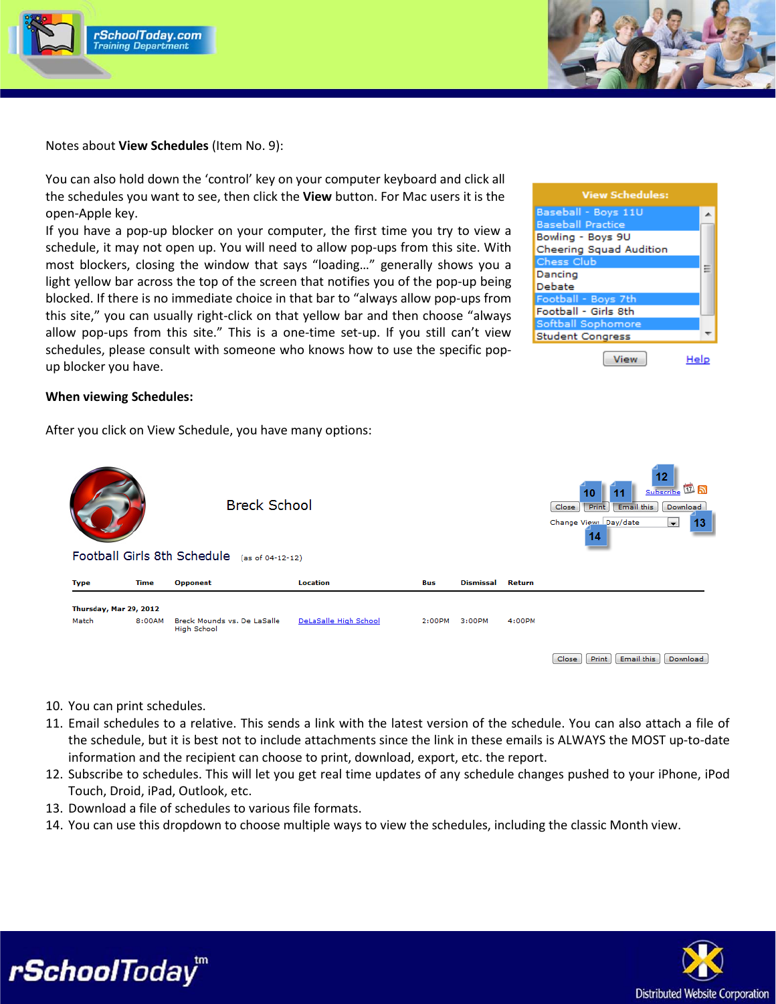



Notes about **View Schedules** (Item No. 9):

You can also hold down the 'control' key on your computer keyboard and click all the schedules you want to see, then click the **View** button. For Mac users it is the open-Apple key.

If you have a pop-up blocker on your computer, the first time you try to view a schedule, it may not open up. You will need to allow pop-ups from this site. With most blockers, closing the window that says "loading…" generally shows you a light yellow bar across the top of the screen that notifies you of the pop-up being blocked. If there is no immediate choice in that bar to "always allow pop-ups from this site," you can usually right-click on that yellow bar and then choose "always allow pop-ups from this site." This is a one-time set-up. If you still can't view schedules, please consult with someone who knows how to use the specific popup blocker you have.

| <b>View Schedules:</b>   |   |
|--------------------------|---|
| Baseball - Boys 11U      |   |
| <b>Baseball Practice</b> |   |
| Bowling - Boys 9U        |   |
| Cheering Squad Audition  |   |
| Chess Club               |   |
| Dancing                  | ⋿ |
| Debate                   |   |
| Football - Boys 7th      |   |
| Football - Girls 8th     |   |
| Softball Sophomore       |   |
| <b>Student Congress</b>  |   |
| View                     |   |

### **When viewing Schedules:**

After you click on View Schedule, you have many options:

| <b>Breck School</b><br>Football Girls 8th Schedule<br>(as of 04-12-12) |                        |                                                   |                       | 10<br>Print<br>Close<br>14 |                  |               | 12<br>回回<br>Subscribe<br>Email this<br>Download<br>Change View: Day/date<br>$\overline{\phantom{a}}$<br>13 |
|------------------------------------------------------------------------|------------------------|---------------------------------------------------|-----------------------|----------------------------|------------------|---------------|------------------------------------------------------------------------------------------------------------|
| <b>Type</b>                                                            | <b>Time</b>            | Opponent                                          | <b>Location</b>       | Bus                        | <b>Dismissal</b> | <b>Return</b> |                                                                                                            |
|                                                                        | Thursday, Mar 29, 2012 |                                                   |                       |                            |                  |               |                                                                                                            |
| Match                                                                  | 8:00AM                 | Breck Mounds vs. De LaSalle<br><b>High School</b> | DeLaSalle High School | 2:00PM                     | 3:00PM           | 4:00PM        |                                                                                                            |
|                                                                        |                        |                                                   |                       |                            |                  |               | Email this<br>Close<br>Download<br>Print                                                                   |

10. You can print schedules.

rSchoolToday<sup>m</sup>

- 11. Email schedules to a relative. This sends a link with the latest version of the schedule. You can also attach a file of the schedule, but it is best not to include attachments since the link in these emails is ALWAYS the MOST up-to-date information and the recipient can choose to print, download, export, etc. the report.
- 12. Subscribe to schedules. This will let you get real time updates of any schedule changes pushed to your iPhone, iPod Touch, Droid, iPad, Outlook, etc.
- 13. Download a file of schedules to various file formats.
- 14. You can use this dropdown to choose multiple ways to view the schedules, including the classic Month view.

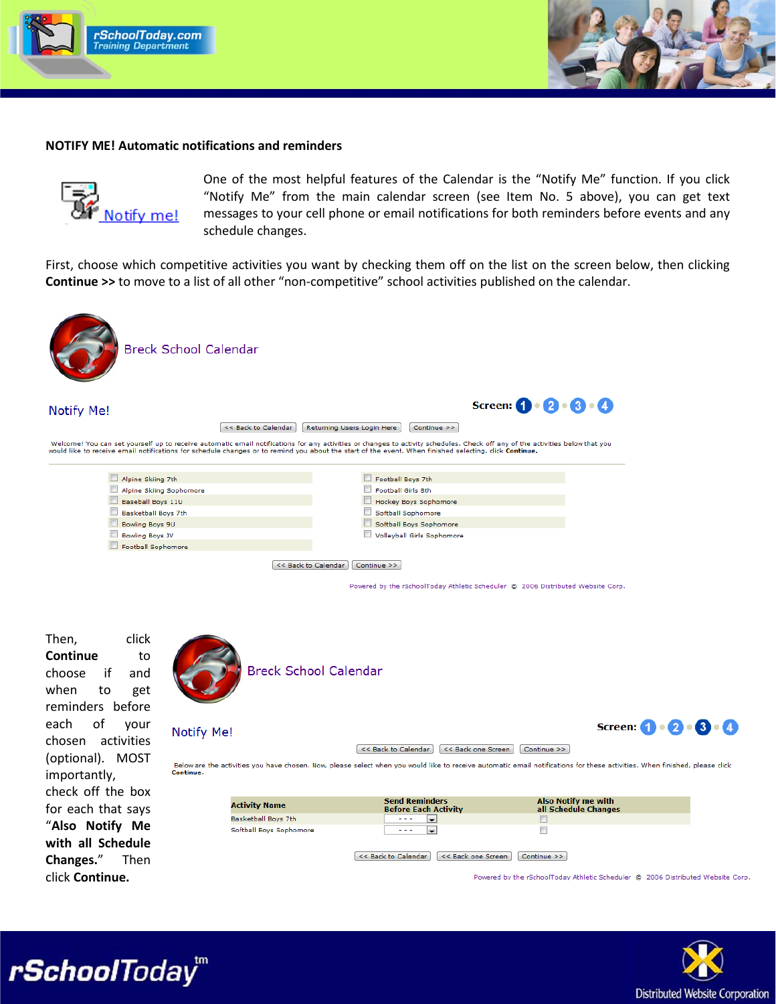



## **NOTIFY ME! Automatic notifications and reminders**



One of the most helpful features of the Calendar is the "Notify Me" function. If you click "Notify Me" from the main calendar screen (see Item No. 5 above), you can get text messages to your cell phone or email notifications for both reminders before events and any schedule changes.

First, choose which competitive activities you want by checking them off on the list on the screen below, then clicking **Continue >>** to move to a list of all other "non-competitive" school activities published on the calendar.



**Notify Me!** 

<< Back to Calendar | Returning Users Login Here | Continue >>

Welcome! You can set yourself up to receive automatic email notifications for any activities or changes to activity schedules. Check off any of the activities below that you<br>would like to receive email notifications for sc

| Alpine Skiing 7th       | Football Boys 7th          |
|-------------------------|----------------------------|
| Alpine Skiing Sophomore | Football Girls 8th         |
| Baseball Boys 11U       | Hockey Boys Sophomore      |
| Basketball Boys 7th     | Softball Sophomore         |
| Bowling Boys 9U         | Softball Boys Sophomore    |
| <b>Bowling Boys JV</b>  | Volleyball Girls Sophomore |
| Football Sophomore      |                            |
|                         |                            |

<< Back to Calendar Continue >>

Powered by the rSchoolToday Athletic Scheduler @ 2006 Distributed Website Corp.

Screen:  $\mathbf{0} \cdot \mathbf{2} \cdot \mathbf{3} \cdot \mathbf{4}$ 

Then, click **Continue** to choose if and when to get reminders before each of your chosen activities (optional). MOST importantly, check off the box for each that says "**Also Notify Me with all Schedule Changes.**" Then click **Continue.**

rSchoolToday<sup>"</sup>



**Breck School Calendar** 

### Notify Me!

<< Back to Calendar | << Back one Screen | Continue >> |



Below are the activities you have chosen. Now, please select when you would like to receive automatic email notifications for these activities. When finished, please click

| <b>Activity Name</b>    | <b>Send Reminders</b><br><b>Before Each Activity</b> | <b>Also Notify me with</b><br>all Schedule Changes |
|-------------------------|------------------------------------------------------|----------------------------------------------------|
| Basketball Boys 7th     | .                                                    |                                                    |
| Softball Boys Sophomore | .                                                    |                                                    |
|                         |                                                      |                                                    |

<< Back to Calendar | << Back one Screen | Continue >> |

Powered by the rSchoolToday Athletic Scheduler @ 2006 Distributed Website Corp.